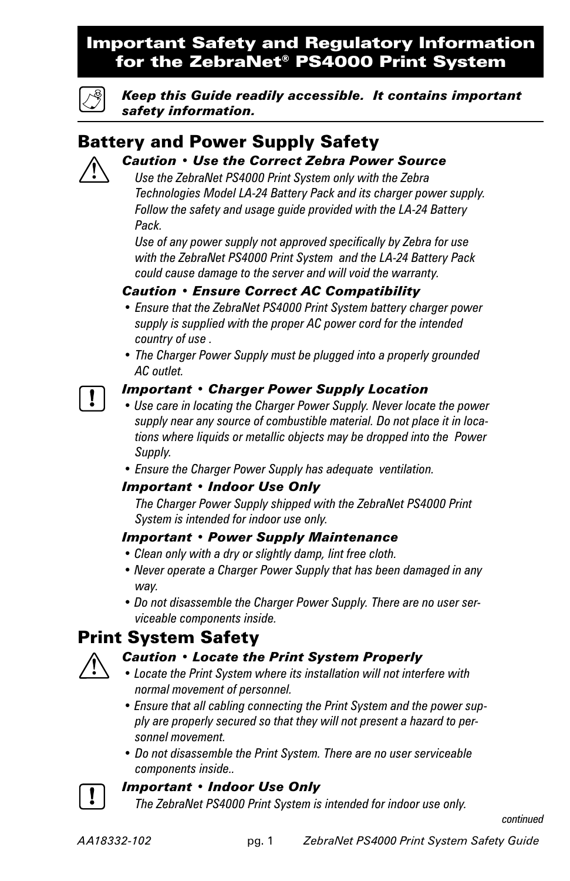## Important Safety and Regulatory Information for the ZebraNet® PS4000 Print System



*Keep this Guide readily accessible. It contains important safety information.*

## Battery and Power Supply Safety  *Caution • Use the Correct Zebra Power Source*

 *Use the ZebraNet PS4000 Print System only with the Zebra Technologies Model LA-24 Battery Pack and its charger power supply. Follow the safety and usage guide provided with the LA-24 Battery Pack.*

 *Use of any power supply not approved specifically by Zebra for use with the ZebraNet PS4000 Print System and the LA-24 Battery Pack could cause damage to the server and will void the warranty.*

## *Caution • Ensure Correct AC Compatibility*

- *Ensure that the ZebraNet PS4000 Print System battery charger power supply is supplied with the proper AC power cord for the intended country of use .*
- *The Charger Power Supply must be plugged into a properly grounded AC outlet.*

## *Important • Charger Power Supply Location*

- *Use care in locating the Charger Power Supply. Never locate the power supply near any source of combustible material. Do not place it in locations where liquids or metallic objects may be dropped into the Power Supply.*
- *Ensure the Charger Power Supply has adequate ventilation.*

## *Important • Indoor Use Only*

 *The Charger Power Supply shipped with the ZebraNet PS4000 Print System is intended for indoor use only.*

## *Important • Power Supply Maintenance*

- *Clean only with a dry or slightly damp, lint free cloth.*
- *Never operate a Charger Power Supply that has been damaged in any way.*
- *Do not disassemble the Charger Power Supply. There are no user serviceable components inside.*

# Print System Safety

## *Caution • Locate the Print System Properly*

- *Locate the Print System where its installation will not interfere with normal movement of personnel.*
- *Ensure that all cabling connecting the Print System and the power supply are properly secured so that they will not present a hazard to personnel movement.*
- *Do not disassemble the Print System. There are no user serviceable components inside..*

## *Important • Indoor Use Only*

 *The ZebraNet PS4000 Print System is intended for indoor use only.*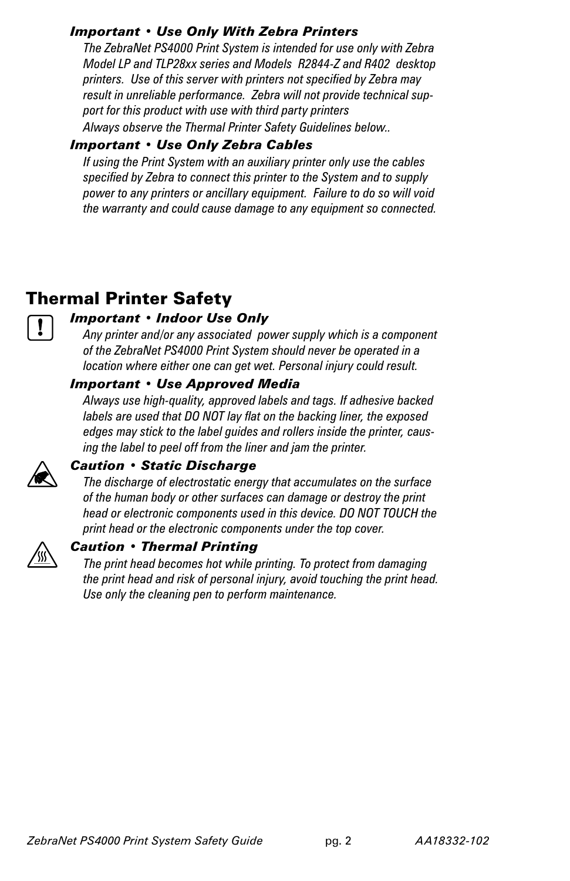## *Important • Use Only With Zebra Printers*

 *The ZebraNet PS4000 Print System is intended for use only with Zebra Model LP and TLP28xx series and Models R2844-Z and R402 desktop printers. Use of this server with printers not specified by Zebra may result in unreliable performance. Zebra will not provide technical support for this product with use with third party printers Always observe the Thermal Printer Safety Guidelines below..*

## *Important • Use Only Zebra Cables*

 *If using the Print System with an auxiliary printer only use the cables specified by Zebra to connect this printer to the System and to supply power to any printers or ancillary equipment. Failure to do so will void the warranty and could cause damage to any equipment so connected.*

# Thermal Printer Safety

## *Important • Indoor Use Only*

 *Any printer and/or any associated power supply which is a component of the ZebraNet PS4000 Print System should never be operated in a location where either one can get wet. Personal injury could result.*

## *Important • Use Approved Media*

 *Always use high-quality, approved labels and tags. If adhesive backed labels are used that DO NOT lay flat on the backing liner, the exposed edges may stick to the label guides and rollers inside the printer, causing the label to peel off from the liner and jam the printer.* 



## *Caution • Static Discharge*

 *The discharge of electrostatic energy that accumulates on the surface of the human body or other surfaces can damage or destroy the print head or electronic components used in this device. DO NOT TOUCH the print head or the electronic components under the top cover.*



## *Caution • Thermal Printing*

 *The print head becomes hot while printing. To protect from damaging the print head and risk of personal injury, avoid touching the print head. Use only the cleaning pen to perform maintenance.*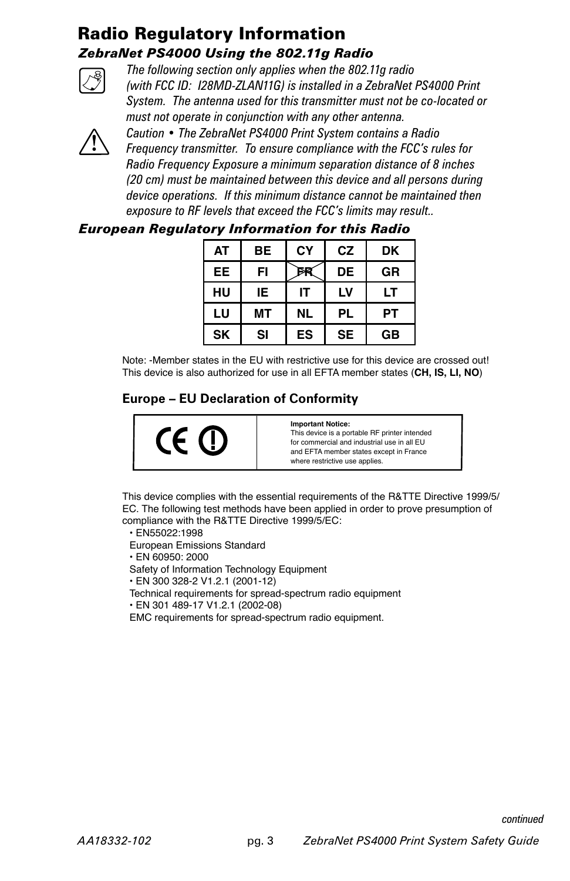## Radio Regulatory Information *ZebraNet PS4000 Using the 802.11g Radio*



 *The following section only applies when the 802.11g radio (with FCC ID: I28MD-ZLAN11G) is installed in a ZebraNet PS4000 Print System. The antenna used for this transmitter must not be co-located or must not operate in conjunction with any other antenna.*



*Caution • The ZebraNet PS4000 Print System contains a Radio Frequency transmitter. To ensure compliance with the FCC's rules for Radio Frequency Exposure a minimum separation distance of 8 inches (20 cm) must be maintained between this device and all persons during device operations. If this minimum distance cannot be maintained then exposure to RF levels that exceed the FCC's limits may result..*

## *European Regulatory Information for this Radio*

| <b>AT</b> | <b>BE</b> | CY | CZ        | DK |
|-----------|-----------|----|-----------|----|
| EE        | FI        |    | <b>DE</b> | GR |
| HU        | IE.       | IΤ | LV        | LТ |
| LU        | ΜТ        | NL | <b>PL</b> | PТ |
| <b>SK</b> | SI        | ES | <b>SE</b> | GB |

Note: -Member states in the EU with restrictive use for this device are crossed out! This device is also authorized for use in all EFTA member states (**CH, IS, LI, NO**)

## **Europe – EU Declaration of Conformity**



**Important Notice:** This device is a portable RF printer intended for commercial and industrial use in all EU and EFTA member states except in France

where restrictive use applies.

This device complies with the essential requirements of the R&TTE Directive 1999/5/ EC. The following test methods have been applied in order to prove presumption of compliance with the R&TTE Directive 1999/5/EC:

• EN55022:1998

European Emissions Standard

• EN 60950: 2000

Safety of Information Technology Equipment

• EN 300 328-2 V1.2.1 (2001-12)

Technical requirements for spread-spectrum radio equipment

• EN 301 489-17 V1.2.1 (2002-08)

EMC requirements for spread-spectrum radio equipment.